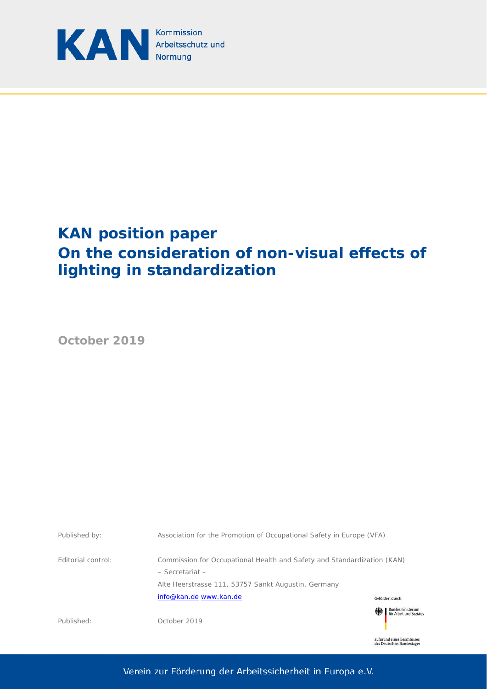

# **KAN position paper On the consideration of non-visual effects of lighting in standardization**

**October 2019**



aufgrund eines Beschlusses<br>des Deutschen Bundestages

Verein zur Förderung der Arbeitssicherheit in Europa e.V.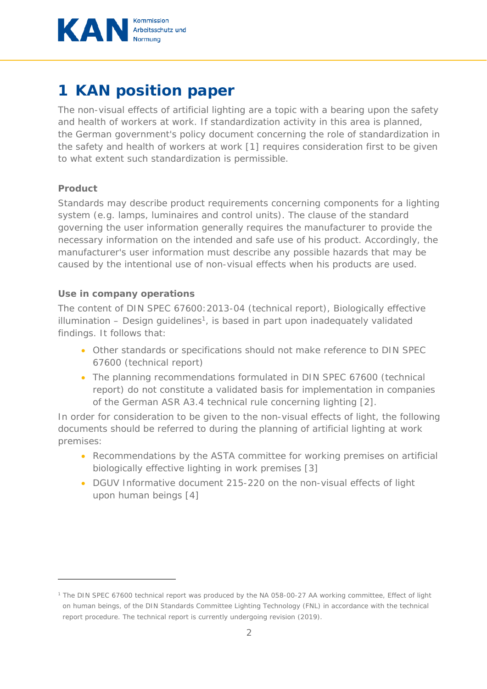

# **1 KAN position paper**

The non-visual effects of artificial lighting are a topic with a bearing upon the safety and health of workers at work. If standardization activity in this area is planned, the German government's policy document concerning the role of standardization in the safety and health of workers at work [1] requires consideration first to be given to what extent such standardization is permissible.

#### **Product**

 $\overline{a}$ 

Standards may describe product requirements concerning components for a lighting system (e.g. lamps, luminaires and control units). The clause of the standard governing the user information generally requires the manufacturer to provide the necessary information on the intended and safe use of his product. Accordingly, the manufacturer's user information must describe any possible hazards that may be caused by the intentional use of non-visual effects when his products are used.

#### **Use in company operations**

The content of DIN SPEC 67600:2013-04 (technical report), Biologically effective illumination – Design guidelines<sup>1</sup>, is based in part upon inadequately validated findings. It follows that:

- Other standards or specifications should not make reference to DIN SPEC 67600 (technical report)
- The planning recommendations formulated in DIN SPEC 67600 (technical report) do not constitute a validated basis for implementation in companies of the German ASR A3.4 technical rule concerning lighting [2].

In order for consideration to be given to the non-visual effects of light, the following documents should be referred to during the planning of artificial lighting at work premises:

- Recommendations by the ASTA committee for working premises on artificial biologically effective lighting in work premises [3]
- DGUV Informative document 215-220 on the non-visual effects of light upon human beings [4]

<sup>1</sup> The DIN SPEC 67600 technical report was produced by the NA 058-00-27 AA working committee, Effect of light on human beings, of the DIN Standards Committee Lighting Technology (FNL) in accordance with the technical report procedure. The technical report is currently undergoing revision (2019).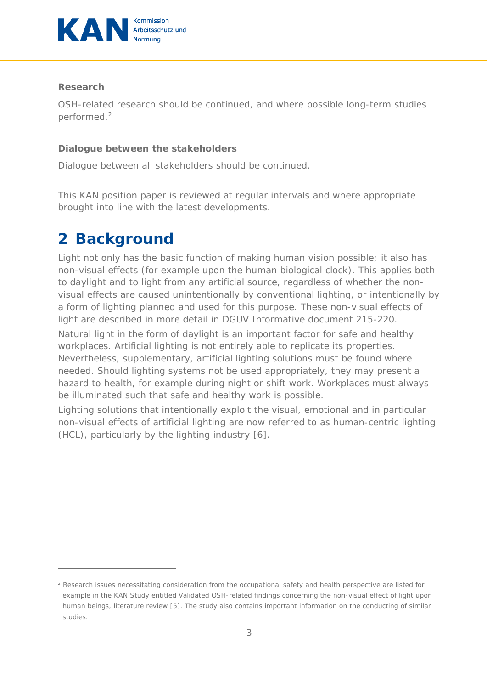

#### **Research**

 $\overline{a}$ 

OSH-related research should be continued, and where possible long-term studies performed.<sup>2</sup>

#### **Dialogue between the stakeholders**

Dialogue between all stakeholders should be continued.

This KAN position paper is reviewed at regular intervals and where appropriate brought into line with the latest developments.

### **2 Background**

Light not only has the basic function of making human vision possible; it also has non-visual effects (for example upon the human biological clock). This applies both to daylight and to light from any artificial source, regardless of whether the nonvisual effects are caused unintentionally by conventional lighting, or intentionally by a form of lighting planned and used for this purpose. These non-visual effects of light are described in more detail in DGUV Informative document 215-220.

Natural light in the form of daylight is an important factor for safe and healthy workplaces. Artificial lighting is not entirely able to replicate its properties. Nevertheless, supplementary, artificial lighting solutions must be found where needed. Should lighting systems not be used appropriately, they may present a hazard to health, for example during night or shift work. Workplaces must always be illuminated such that safe and healthy work is possible.

Lighting solutions that intentionally exploit the visual, emotional and in particular non-visual effects of artificial lighting are now referred to as human-centric lighting (HCL), particularly by the lighting industry [6].

<sup>2</sup> Research issues necessitating consideration from the occupational safety and health perspective are listed for example in the KAN Study entitled Validated OSH-related findings concerning the non-visual effect of light upon human beings, literature review [5]. The study also contains important information on the conducting of similar studies.